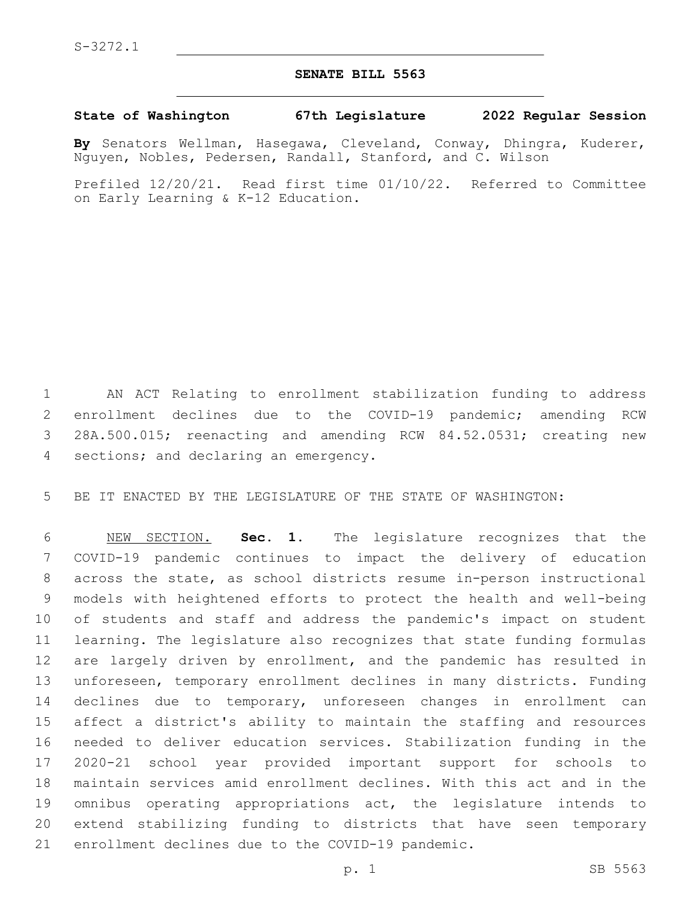## **SENATE BILL 5563**

## **State of Washington 67th Legislature 2022 Regular Session**

**By** Senators Wellman, Hasegawa, Cleveland, Conway, Dhingra, Kuderer, Nguyen, Nobles, Pedersen, Randall, Stanford, and C. Wilson

Prefiled 12/20/21. Read first time 01/10/22. Referred to Committee on Early Learning & K-12 Education.

 AN ACT Relating to enrollment stabilization funding to address enrollment declines due to the COVID-19 pandemic; amending RCW 28A.500.015; reenacting and amending RCW 84.52.0531; creating new 4 sections; and declaring an emergency.

BE IT ENACTED BY THE LEGISLATURE OF THE STATE OF WASHINGTON:

 NEW SECTION. **Sec. 1.** The legislature recognizes that the COVID-19 pandemic continues to impact the delivery of education across the state, as school districts resume in-person instructional models with heightened efforts to protect the health and well-being of students and staff and address the pandemic's impact on student learning. The legislature also recognizes that state funding formulas 12 are largely driven by enrollment, and the pandemic has resulted in unforeseen, temporary enrollment declines in many districts. Funding declines due to temporary, unforeseen changes in enrollment can affect a district's ability to maintain the staffing and resources needed to deliver education services. Stabilization funding in the 2020-21 school year provided important support for schools to maintain services amid enrollment declines. With this act and in the omnibus operating appropriations act, the legislature intends to extend stabilizing funding to districts that have seen temporary enrollment declines due to the COVID-19 pandemic.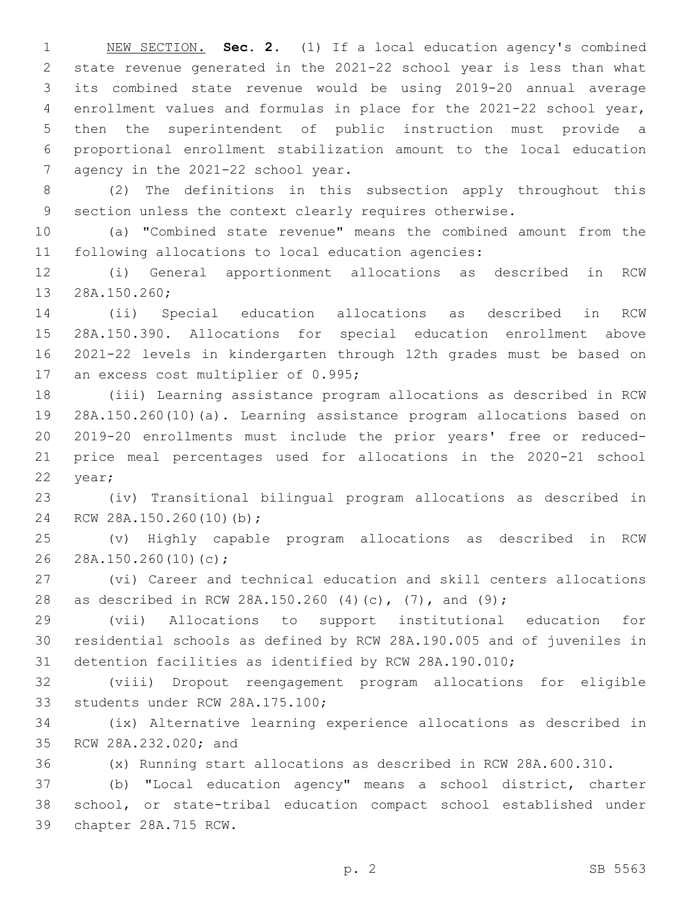NEW SECTION. **Sec. 2.** (1) If a local education agency's combined state revenue generated in the 2021-22 school year is less than what its combined state revenue would be using 2019-20 annual average enrollment values and formulas in place for the 2021-22 school year, then the superintendent of public instruction must provide a proportional enrollment stabilization amount to the local education 7 agency in the 2021-22 school year.

 (2) The definitions in this subsection apply throughout this section unless the context clearly requires otherwise.

 (a) "Combined state revenue" means the combined amount from the following allocations to local education agencies:

 (i) General apportionment allocations as described in RCW 13 28A.150.260;

 (ii) Special education allocations as described in RCW 28A.150.390. Allocations for special education enrollment above 2021-22 levels in kindergarten through 12th grades must be based on 17 an excess cost multiplier of 0.995;

 (iii) Learning assistance program allocations as described in RCW 28A.150.260(10)(a). Learning assistance program allocations based on 2019-20 enrollments must include the prior years' free or reduced- price meal percentages used for allocations in the 2020-21 school 22 year;

 (iv) Transitional bilingual program allocations as described in 24 RCW 28A.150.260(10)(b);

 (v) Highly capable program allocations as described in RCW 26 28A.150.260(10)(c);

 (vi) Career and technical education and skill centers allocations as described in RCW 28A.150.260 (4)(c), (7), and (9);

 (vii) Allocations to support institutional education for residential schools as defined by RCW 28A.190.005 and of juveniles in detention facilities as identified by RCW 28A.190.010;

 (viii) Dropout reengagement program allocations for eligible 33 students under RCW 28A.175.100;

 (ix) Alternative learning experience allocations as described in 35 RCW 28A.232.020; and

(x) Running start allocations as described in RCW 28A.600.310.

 (b) "Local education agency" means a school district, charter school, or state-tribal education compact school established under chapter 28A.715 RCW.39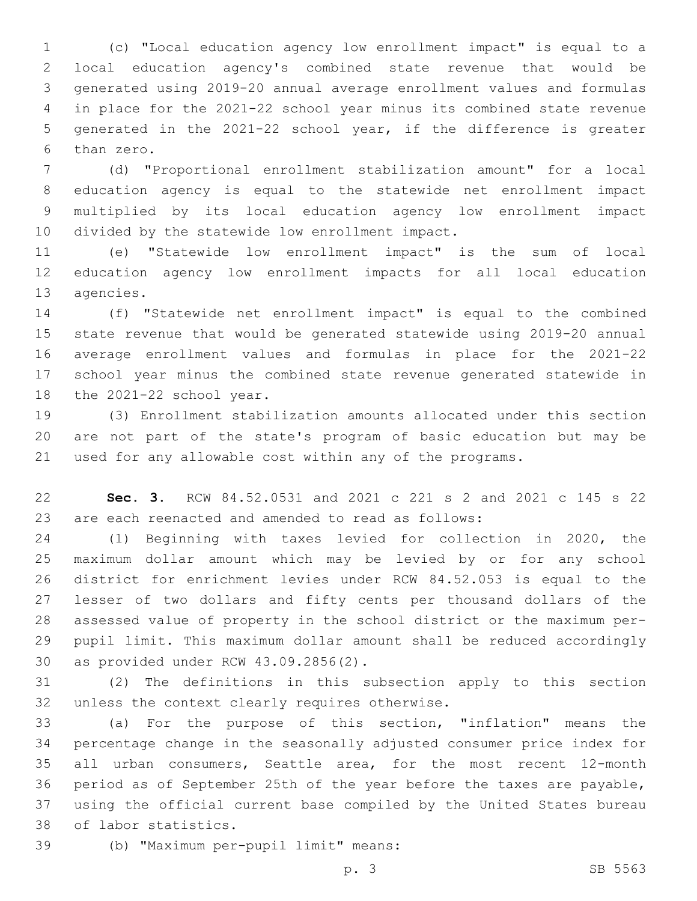(c) "Local education agency low enrollment impact" is equal to a local education agency's combined state revenue that would be generated using 2019-20 annual average enrollment values and formulas in place for the 2021-22 school year minus its combined state revenue generated in the 2021-22 school year, if the difference is greater 6 than zero.

 (d) "Proportional enrollment stabilization amount" for a local education agency is equal to the statewide net enrollment impact multiplied by its local education agency low enrollment impact 10 divided by the statewide low enrollment impact.

 (e) "Statewide low enrollment impact" is the sum of local education agency low enrollment impacts for all local education 13 agencies.

 (f) "Statewide net enrollment impact" is equal to the combined state revenue that would be generated statewide using 2019-20 annual average enrollment values and formulas in place for the 2021-22 school year minus the combined state revenue generated statewide in 18 the 2021-22 school year.

 (3) Enrollment stabilization amounts allocated under this section are not part of the state's program of basic education but may be used for any allowable cost within any of the programs.

 **Sec. 3.** RCW 84.52.0531 and 2021 c 221 s 2 and 2021 c 145 s 22 are each reenacted and amended to read as follows:

 (1) Beginning with taxes levied for collection in 2020, the maximum dollar amount which may be levied by or for any school district for enrichment levies under RCW 84.52.053 is equal to the lesser of two dollars and fifty cents per thousand dollars of the assessed value of property in the school district or the maximum per- pupil limit. This maximum dollar amount shall be reduced accordingly 30 as provided under RCW 43.09.2856(2).

 (2) The definitions in this subsection apply to this section 32 unless the context clearly requires otherwise.

 (a) For the purpose of this section, "inflation" means the percentage change in the seasonally adjusted consumer price index for all urban consumers, Seattle area, for the most recent 12-month period as of September 25th of the year before the taxes are payable, using the official current base compiled by the United States bureau 38 of labor statistics.

(b) "Maximum per-pupil limit" means:39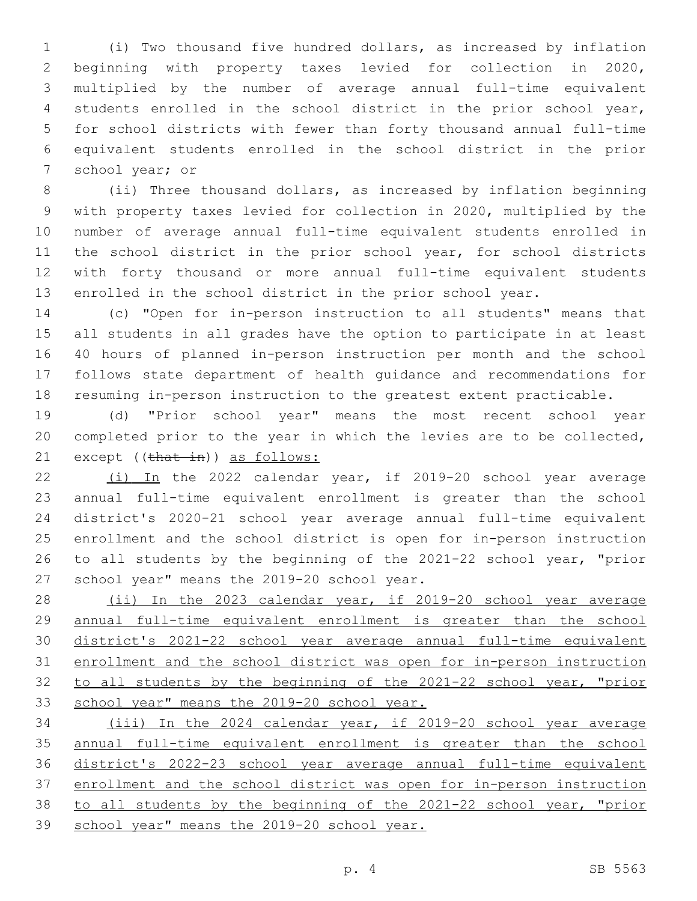(i) Two thousand five hundred dollars, as increased by inflation beginning with property taxes levied for collection in 2020, multiplied by the number of average annual full-time equivalent students enrolled in the school district in the prior school year, for school districts with fewer than forty thousand annual full-time equivalent students enrolled in the school district in the prior 7 school year; or

 (ii) Three thousand dollars, as increased by inflation beginning with property taxes levied for collection in 2020, multiplied by the number of average annual full-time equivalent students enrolled in 11 the school district in the prior school year, for school districts with forty thousand or more annual full-time equivalent students enrolled in the school district in the prior school year.

 (c) "Open for in-person instruction to all students" means that all students in all grades have the option to participate in at least 40 hours of planned in-person instruction per month and the school follows state department of health guidance and recommendations for resuming in-person instruction to the greatest extent practicable.

 (d) "Prior school year" means the most recent school year completed prior to the year in which the levies are to be collected, 21 except ((that in)) as follows:

 (i) In the 2022 calendar year, if 2019-20 school year average annual full-time equivalent enrollment is greater than the school district's 2020-21 school year average annual full-time equivalent enrollment and the school district is open for in-person instruction to all students by the beginning of the 2021-22 school year, "prior 27 school year" means the 2019-20 school year.

28 (ii) In the 2023 calendar year, if 2019-20 school year average annual full-time equivalent enrollment is greater than the school district's 2021-22 school year average annual full-time equivalent enrollment and the school district was open for in-person instruction to all students by the beginning of the 2021-22 school year, "prior school year" means the 2019-20 school year.

 (iii) In the 2024 calendar year, if 2019-20 school year average annual full-time equivalent enrollment is greater than the school district's 2022-23 school year average annual full-time equivalent enrollment and the school district was open for in-person instruction to all students by the beginning of the 2021-22 school year, "prior school year" means the 2019-20 school year.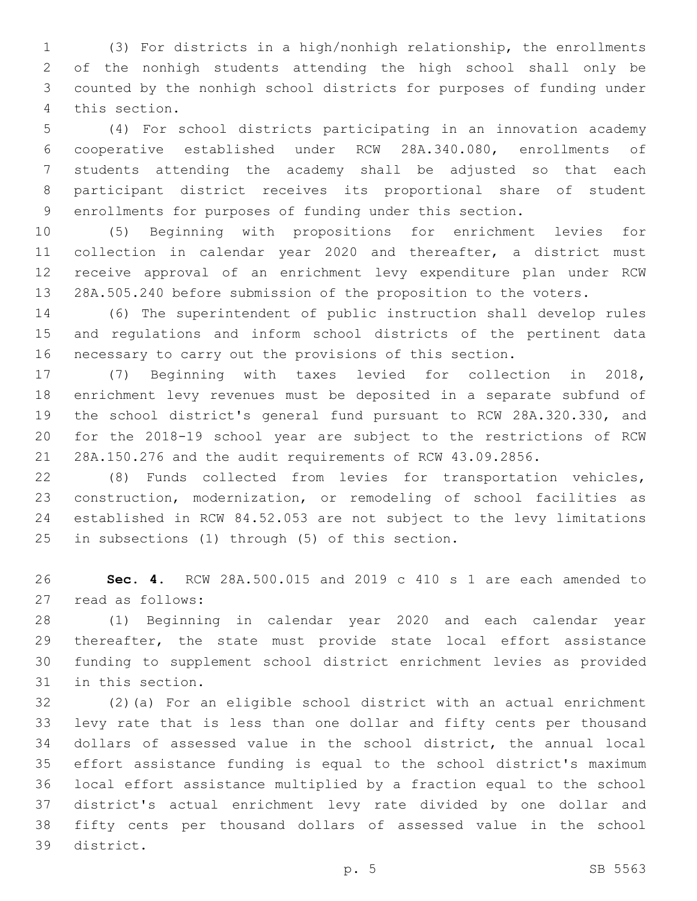(3) For districts in a high/nonhigh relationship, the enrollments of the nonhigh students attending the high school shall only be counted by the nonhigh school districts for purposes of funding under 4 this section.

 (4) For school districts participating in an innovation academy cooperative established under RCW 28A.340.080, enrollments of students attending the academy shall be adjusted so that each participant district receives its proportional share of student enrollments for purposes of funding under this section.

 (5) Beginning with propositions for enrichment levies for collection in calendar year 2020 and thereafter, a district must receive approval of an enrichment levy expenditure plan under RCW 28A.505.240 before submission of the proposition to the voters.

 (6) The superintendent of public instruction shall develop rules and regulations and inform school districts of the pertinent data necessary to carry out the provisions of this section.

 (7) Beginning with taxes levied for collection in 2018, enrichment levy revenues must be deposited in a separate subfund of the school district's general fund pursuant to RCW 28A.320.330, and for the 2018-19 school year are subject to the restrictions of RCW 28A.150.276 and the audit requirements of RCW 43.09.2856.

 (8) Funds collected from levies for transportation vehicles, construction, modernization, or remodeling of school facilities as established in RCW 84.52.053 are not subject to the levy limitations 25 in subsections (1) through (5) of this section.

 **Sec. 4.** RCW 28A.500.015 and 2019 c 410 s 1 are each amended to 27 read as follows:

 (1) Beginning in calendar year 2020 and each calendar year thereafter, the state must provide state local effort assistance funding to supplement school district enrichment levies as provided 31 in this section.

 (2)(a) For an eligible school district with an actual enrichment levy rate that is less than one dollar and fifty cents per thousand dollars of assessed value in the school district, the annual local effort assistance funding is equal to the school district's maximum local effort assistance multiplied by a fraction equal to the school district's actual enrichment levy rate divided by one dollar and fifty cents per thousand dollars of assessed value in the school 39 district.

p. 5 SB 5563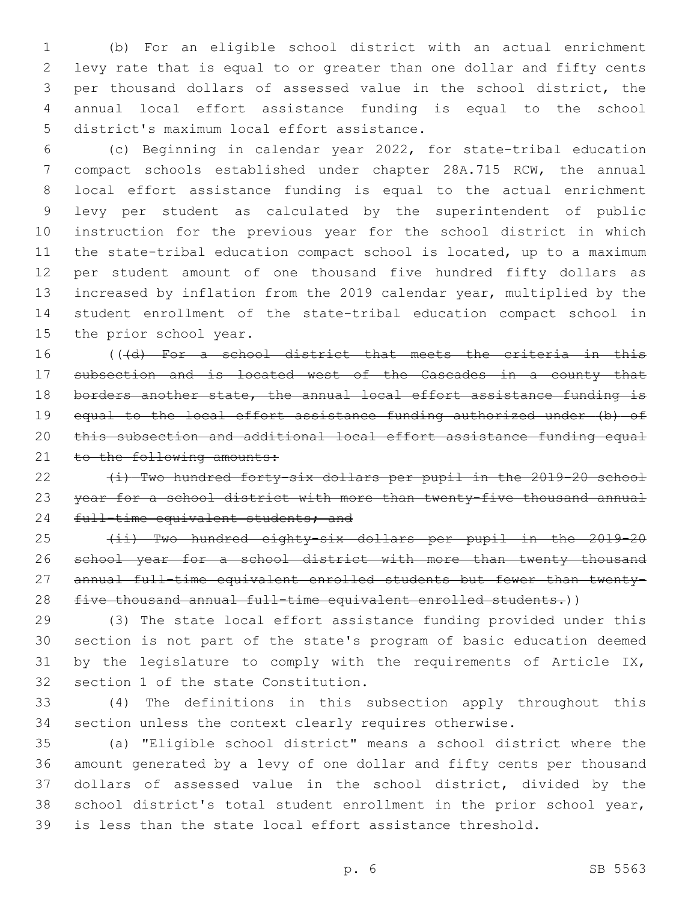(b) For an eligible school district with an actual enrichment levy rate that is equal to or greater than one dollar and fifty cents per thousand dollars of assessed value in the school district, the annual local effort assistance funding is equal to the school 5 district's maximum local effort assistance.

 (c) Beginning in calendar year 2022, for state-tribal education compact schools established under chapter 28A.715 RCW, the annual local effort assistance funding is equal to the actual enrichment levy per student as calculated by the superintendent of public instruction for the previous year for the school district in which the state-tribal education compact school is located, up to a maximum per student amount of one thousand five hundred fifty dollars as increased by inflation from the 2019 calendar year, multiplied by the student enrollment of the state-tribal education compact school in 15 the prior school year.

16 (((d) For a school district that meets the criteria in this subsection and is located west of the Cascades in a county that 18 borders another state, the annual local effort assistance funding is equal to the local effort assistance funding authorized under (b) of this subsection and additional local effort assistance funding equal 21 to the following amounts:

22  $(i)$  Two hundred forty-six dollars per pupil in the 2019-20 school year for a school district with more than twenty-five thousand annual 24 full-time equivalent students; and

25 (ii) Two hundred eighty-six dollars per pupil in the 2019-20 26 school year for a school district with more than twenty thousand annual full-time equivalent enrolled students but fewer than twenty-28 five thousand annual full-time equivalent enrolled students.))

 (3) The state local effort assistance funding provided under this section is not part of the state's program of basic education deemed 31 by the legislature to comply with the requirements of Article IX, 32 section 1 of the state Constitution.

 (4) The definitions in this subsection apply throughout this section unless the context clearly requires otherwise.

 (a) "Eligible school district" means a school district where the amount generated by a levy of one dollar and fifty cents per thousand dollars of assessed value in the school district, divided by the school district's total student enrollment in the prior school year, is less than the state local effort assistance threshold.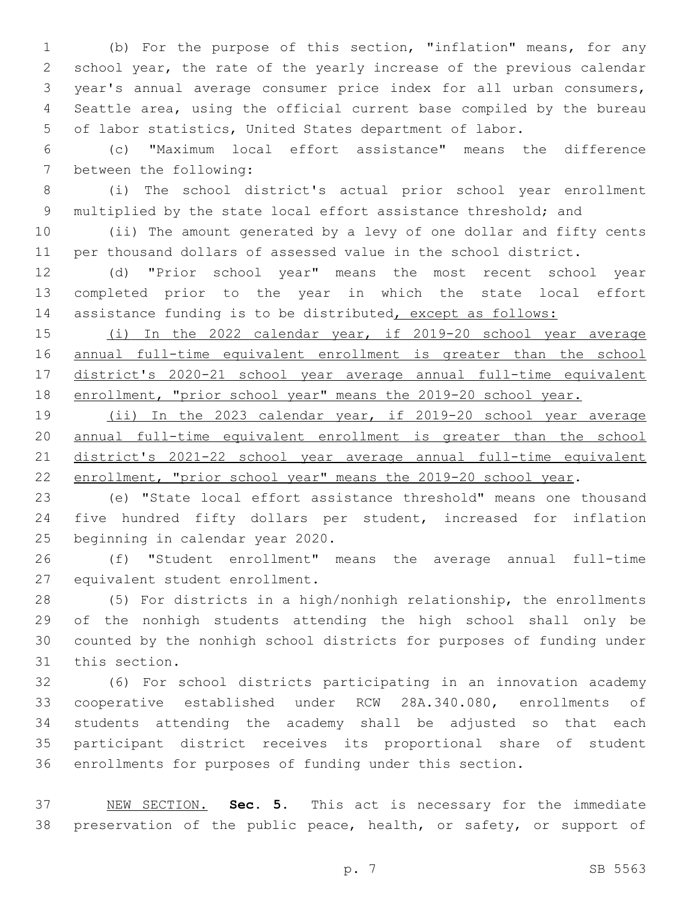(b) For the purpose of this section, "inflation" means, for any school year, the rate of the yearly increase of the previous calendar year's annual average consumer price index for all urban consumers, Seattle area, using the official current base compiled by the bureau of labor statistics, United States department of labor.

 (c) "Maximum local effort assistance" means the difference 7 between the following:

 (i) The school district's actual prior school year enrollment 9 multiplied by the state local effort assistance threshold; and

 (ii) The amount generated by a levy of one dollar and fifty cents per thousand dollars of assessed value in the school district.

 (d) "Prior school year" means the most recent school year completed prior to the year in which the state local effort 14 assistance funding is to be distributed, except as follows:

 (i) In the 2022 calendar year, if 2019-20 school year average 16 <u>annual full-time equivalent enrollment is greater than the school</u> district's 2020-21 school year average annual full-time equivalent enrollment, "prior school year" means the 2019-20 school year.

 (ii) In the 2023 calendar year, if 2019-20 school year average annual full-time equivalent enrollment is greater than the school district's 2021-22 school year average annual full-time equivalent enrollment, "prior school year" means the 2019-20 school year.

 (e) "State local effort assistance threshold" means one thousand five hundred fifty dollars per student, increased for inflation 25 beginning in calendar year 2020.

 (f) "Student enrollment" means the average annual full-time 27 equivalent student enrollment.

 (5) For districts in a high/nonhigh relationship, the enrollments of the nonhigh students attending the high school shall only be counted by the nonhigh school districts for purposes of funding under 31 this section.

 (6) For school districts participating in an innovation academy cooperative established under RCW 28A.340.080, enrollments of students attending the academy shall be adjusted so that each participant district receives its proportional share of student enrollments for purposes of funding under this section.

 NEW SECTION. **Sec. 5.** This act is necessary for the immediate preservation of the public peace, health, or safety, or support of

p. 7 SB 5563